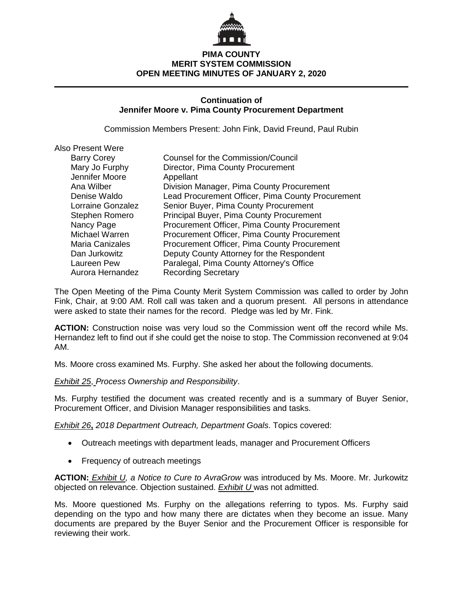

# **PIMA COUNTY MERIT SYSTEM COMMISSION OPEN MEETING MINUTES OF JANUARY 2, 2020**

## **Continuation of Jennifer Moore v. Pima County Procurement Department**

Commission Members Present: John Fink, David Freund, Paul Rubin

| <b>Also Present Were</b> |                                                   |
|--------------------------|---------------------------------------------------|
| <b>Barry Corey</b>       | Counsel for the Commission/Council                |
| Mary Jo Furphy           | Director, Pima County Procurement                 |
| Jennifer Moore           | Appellant                                         |
| Ana Wilber               | Division Manager, Pima County Procurement         |
| Denise Waldo             | Lead Procurement Officer, Pima County Procurement |
| Lorraine Gonzalez        | Senior Buyer, Pima County Procurement             |
| Stephen Romero           | Principal Buyer, Pima County Procurement          |
| Nancy Page               | Procurement Officer, Pima County Procurement      |
| Michael Warren           | Procurement Officer, Pima County Procurement      |
| <b>Maria Canizales</b>   | Procurement Officer, Pima County Procurement      |
| Dan Jurkowitz            | Deputy County Attorney for the Respondent         |
| Laureen Pew              | Paralegal, Pima County Attorney's Office          |
| Aurora Hernandez         | <b>Recording Secretary</b>                        |

The Open Meeting of the Pima County Merit System Commission was called to order by John Fink, Chair, at 9:00 AM. Roll call was taken and a quorum present. All persons in attendance were asked to state their names for the record. Pledge was led by Mr. Fink.

**ACTION:** Construction noise was very loud so the Commission went off the record while Ms. Hernandez left to find out if she could get the noise to stop. The Commission reconvened at 9:04 AM.

Ms. Moore cross examined Ms. Furphy. She asked her about the following documents.

*Exhibit 25*, *Process Ownership and Responsibility*.

Ms. Furphy testified the document was created recently and is a summary of Buyer Senior, Procurement Officer, and Division Manager responsibilities and tasks.

*Exhibit 26***,** *2018 Department Outreach, Department Goals*. Topics covered:

- Outreach meetings with department leads, manager and Procurement Officers
- Frequency of outreach meetings

**ACTION:** *Exhibit U, a Notice to Cure to AvraGrow* was introduced by Ms. Moore. Mr. Jurkowitz objected on relevance. Objection sustained. *Exhibit U* was not admitted.

Ms. Moore questioned Ms. Furphy on the allegations referring to typos. Ms. Furphy said depending on the typo and how many there are dictates when they become an issue. Many documents are prepared by the Buyer Senior and the Procurement Officer is responsible for reviewing their work.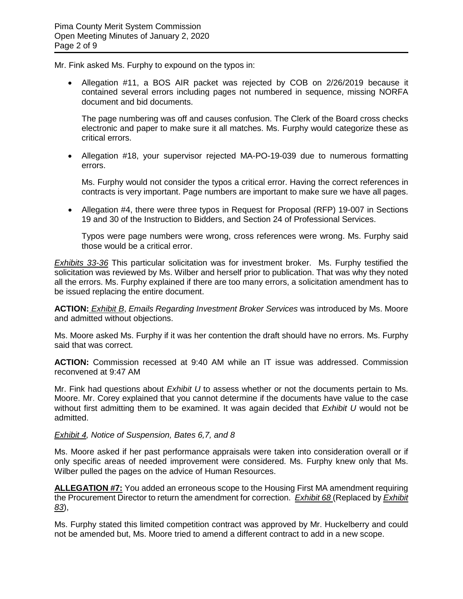Mr. Fink asked Ms. Furphy to expound on the typos in:

• Allegation #11, a BOS AIR packet was rejected by COB on 2/26/2019 because it contained several errors including pages not numbered in sequence, missing NORFA document and bid documents.

The page numbering was off and causes confusion. The Clerk of the Board cross checks electronic and paper to make sure it all matches. Ms. Furphy would categorize these as critical errors.

• Allegation #18, your supervisor rejected MA-PO-19-039 due to numerous formatting errors.

Ms. Furphy would not consider the typos a critical error. Having the correct references in contracts is very important. Page numbers are important to make sure we have all pages.

• Allegation #4, there were three typos in Request for Proposal (RFP) 19-007 in Sections 19 and 30 of the Instruction to Bidders, and Section 24 of Professional Services.

Typos were page numbers were wrong, cross references were wrong. Ms. Furphy said those would be a critical error.

*Exhibits 33-36* This particular solicitation was for investment broker. Ms. Furphy testified the solicitation was reviewed by Ms. Wilber and herself prior to publication. That was why they noted all the errors. Ms. Furphy explained if there are too many errors, a solicitation amendment has to be issued replacing the entire document.

**ACTION:** *Exhibit B*, *Emails Regarding Investment Broker Services* was introduced by Ms. Moore and admitted without objections.

Ms. Moore asked Ms. Furphy if it was her contention the draft should have no errors. Ms. Furphy said that was correct.

**ACTION:** Commission recessed at 9:40 AM while an IT issue was addressed. Commission reconvened at 9:47 AM

Mr. Fink had questions about *Exhibit U* to assess whether or not the documents pertain to Ms. Moore. Mr. Corey explained that you cannot determine if the documents have value to the case without first admitting them to be examined. It was again decided that *Exhibit U* would not be admitted.

### *Exhibit 4, Notice of Suspension, Bates 6,7, and 8*

Ms. Moore asked if her past performance appraisals were taken into consideration overall or if only specific areas of needed improvement were considered. Ms. Furphy knew only that Ms. Wilber pulled the pages on the advice of Human Resources.

**ALLEGATION #7:** You added an erroneous scope to the Housing First MA amendment requiring the Procurement Director to return the amendment for correction. *Exhibit 68* (Replaced by *Exhibit 83*),

Ms. Furphy stated this limited competition contract was approved by Mr. Huckelberry and could not be amended but, Ms. Moore tried to amend a different contract to add in a new scope.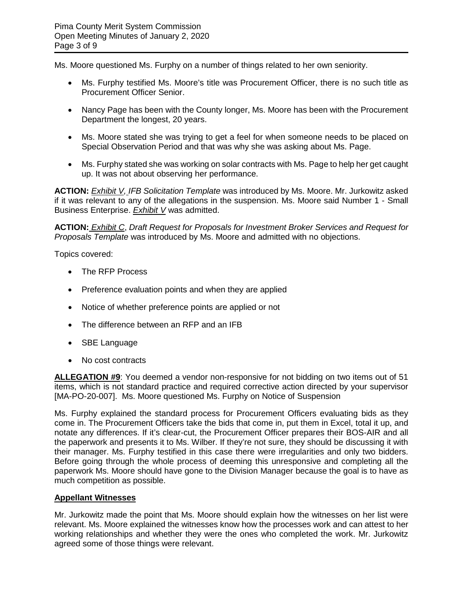Ms. Moore questioned Ms. Furphy on a number of things related to her own seniority.

- Ms. Furphy testified Ms. Moore's title was Procurement Officer, there is no such title as Procurement Officer Senior.
- Nancy Page has been with the County longer, Ms. Moore has been with the Procurement Department the longest, 20 years.
- Ms. Moore stated she was trying to get a feel for when someone needs to be placed on Special Observation Period and that was why she was asking about Ms. Page.
- Ms. Furphy stated she was working on solar contracts with Ms. Page to help her get caught up. It was not about observing her performance.

**ACTION:** *Exhibit V, IFB Solicitation Template* was introduced by Ms. Moore. Mr. Jurkowitz asked if it was relevant to any of the allegations in the suspension. Ms. Moore said Number 1 - Small Business Enterprise. *Exhibit V* was admitted.

**ACTION:** *Exhibit C*, *Draft Request for Proposals for Investment Broker Services and Request for Proposals Template* was introduced by Ms. Moore and admitted with no objections.

Topics covered:

- The RFP Process
- Preference evaluation points and when they are applied
- Notice of whether preference points are applied or not
- The difference between an RFP and an IFB
- SBE Language
- No cost contracts

**ALLEGATION #9**: You deemed a vendor non-responsive for not bidding on two items out of 51 items, which is not standard practice and required corrective action directed by your supervisor [MA-PO-20-007]. Ms. Moore questioned Ms. Furphy on Notice of Suspension

Ms. Furphy explained the standard process for Procurement Officers evaluating bids as they come in. The Procurement Officers take the bids that come in, put them in Excel, total it up, and notate any differences. If it's clear-cut, the Procurement Officer prepares their BOS-AIR and all the paperwork and presents it to Ms. Wilber. If they're not sure, they should be discussing it with their manager. Ms. Furphy testified in this case there were irregularities and only two bidders. Before going through the whole process of deeming this unresponsive and completing all the paperwork Ms. Moore should have gone to the Division Manager because the goal is to have as much competition as possible.

### **Appellant Witnesses**

Mr. Jurkowitz made the point that Ms. Moore should explain how the witnesses on her list were relevant. Ms. Moore explained the witnesses know how the processes work and can attest to her working relationships and whether they were the ones who completed the work. Mr. Jurkowitz agreed some of those things were relevant.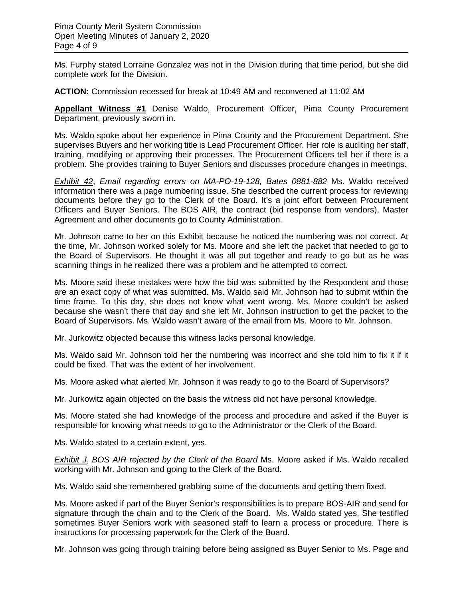Ms. Furphy stated Lorraine Gonzalez was not in the Division during that time period, but she did complete work for the Division.

**ACTION:** Commission recessed for break at 10:49 AM and reconvened at 11:02 AM

**Appellant Witness #1** Denise Waldo, Procurement Officer, Pima County Procurement Department, previously sworn in.

Ms. Waldo spoke about her experience in Pima County and the Procurement Department. She supervises Buyers and her working title is Lead Procurement Officer. Her role is auditing her staff, training, modifying or approving their processes. The Procurement Officers tell her if there is a problem. She provides training to Buyer Seniors and discusses procedure changes in meetings.

*Exhibit 42*, *Email regarding errors on MA-PO-19-128, Bates 0881-882* Ms. Waldo received information there was a page numbering issue. She described the current process for reviewing documents before they go to the Clerk of the Board. It's a joint effort between Procurement Officers and Buyer Seniors. The BOS AIR, the contract (bid response from vendors), Master Agreement and other documents go to County Administration.

Mr. Johnson came to her on this Exhibit because he noticed the numbering was not correct. At the time, Mr. Johnson worked solely for Ms. Moore and she left the packet that needed to go to the Board of Supervisors. He thought it was all put together and ready to go but as he was scanning things in he realized there was a problem and he attempted to correct.

Ms. Moore said these mistakes were how the bid was submitted by the Respondent and those are an exact copy of what was submitted. Ms. Waldo said Mr. Johnson had to submit within the time frame. To this day, she does not know what went wrong. Ms. Moore couldn't be asked because she wasn't there that day and she left Mr. Johnson instruction to get the packet to the Board of Supervisors. Ms. Waldo wasn't aware of the email from Ms. Moore to Mr. Johnson.

Mr. Jurkowitz objected because this witness lacks personal knowledge.

Ms. Waldo said Mr. Johnson told her the numbering was incorrect and she told him to fix it if it could be fixed. That was the extent of her involvement.

Ms. Moore asked what alerted Mr. Johnson it was ready to go to the Board of Supervisors?

Mr. Jurkowitz again objected on the basis the witness did not have personal knowledge.

Ms. Moore stated she had knowledge of the process and procedure and asked if the Buyer is responsible for knowing what needs to go to the Administrator or the Clerk of the Board.

Ms. Waldo stated to a certain extent, yes.

*Exhibit J*, *BOS AIR rejected by the Clerk of the Board* Ms. Moore asked if Ms. Waldo recalled working with Mr. Johnson and going to the Clerk of the Board.

Ms. Waldo said she remembered grabbing some of the documents and getting them fixed.

Ms. Moore asked if part of the Buyer Senior's responsibilities is to prepare BOS-AIR and send for signature through the chain and to the Clerk of the Board. Ms. Waldo stated yes. She testified sometimes Buyer Seniors work with seasoned staff to learn a process or procedure. There is instructions for processing paperwork for the Clerk of the Board.

Mr. Johnson was going through training before being assigned as Buyer Senior to Ms. Page and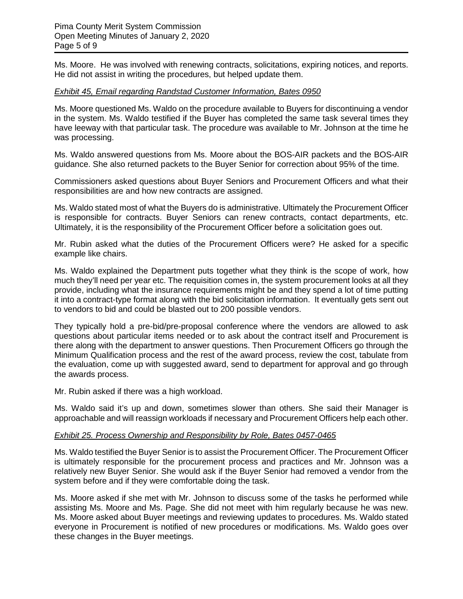Ms. Moore. He was involved with renewing contracts, solicitations, expiring notices, and reports. He did not assist in writing the procedures, but helped update them.

### *Exhibit 45, Email regarding Randstad Customer Information, Bates 0950*

Ms. Moore questioned Ms. Waldo on the procedure available to Buyers for discontinuing a vendor in the system. Ms. Waldo testified if the Buyer has completed the same task several times they have leeway with that particular task. The procedure was available to Mr. Johnson at the time he was processing.

Ms. Waldo answered questions from Ms. Moore about the BOS-AIR packets and the BOS-AIR guidance. She also returned packets to the Buyer Senior for correction about 95% of the time.

Commissioners asked questions about Buyer Seniors and Procurement Officers and what their responsibilities are and how new contracts are assigned.

Ms. Waldo stated most of what the Buyers do is administrative. Ultimately the Procurement Officer is responsible for contracts. Buyer Seniors can renew contracts, contact departments, etc. Ultimately, it is the responsibility of the Procurement Officer before a solicitation goes out.

Mr. Rubin asked what the duties of the Procurement Officers were? He asked for a specific example like chairs.

Ms. Waldo explained the Department puts together what they think is the scope of work, how much they'll need per year etc. The requisition comes in, the system procurement looks at all they provide, including what the insurance requirements might be and they spend a lot of time putting it into a contract-type format along with the bid solicitation information. It eventually gets sent out to vendors to bid and could be blasted out to 200 possible vendors.

They typically hold a pre-bid/pre-proposal conference where the vendors are allowed to ask questions about particular items needed or to ask about the contract itself and Procurement is there along with the department to answer questions. Then Procurement Officers go through the Minimum Qualification process and the rest of the award process, review the cost, tabulate from the evaluation, come up with suggested award, send to department for approval and go through the awards process.

Mr. Rubin asked if there was a high workload.

Ms. Waldo said it's up and down, sometimes slower than others. She said their Manager is approachable and will reassign workloads if necessary and Procurement Officers help each other.

### *Exhibit 25. Process Ownership and Responsibility by Role, Bates 0457-0465*

Ms. Waldo testified the Buyer Senior is to assist the Procurement Officer. The Procurement Officer is ultimately responsible for the procurement process and practices and Mr. Johnson was a relatively new Buyer Senior. She would ask if the Buyer Senior had removed a vendor from the system before and if they were comfortable doing the task.

Ms. Moore asked if she met with Mr. Johnson to discuss some of the tasks he performed while assisting Ms. Moore and Ms. Page. She did not meet with him regularly because he was new. Ms. Moore asked about Buyer meetings and reviewing updates to procedures. Ms. Waldo stated everyone in Procurement is notified of new procedures or modifications. Ms. Waldo goes over these changes in the Buyer meetings.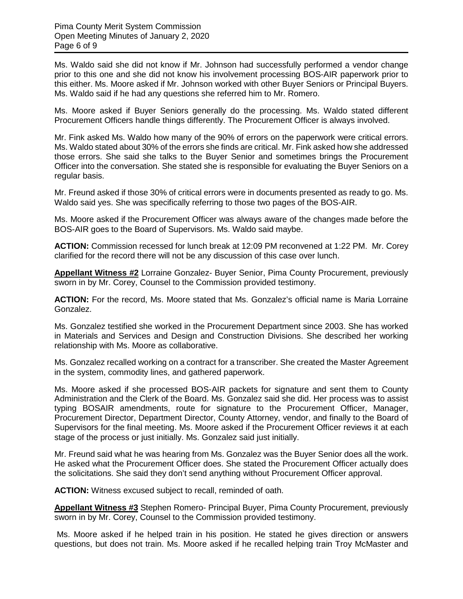Ms. Waldo said she did not know if Mr. Johnson had successfully performed a vendor change prior to this one and she did not know his involvement processing BOS-AIR paperwork prior to this either. Ms. Moore asked if Mr. Johnson worked with other Buyer Seniors or Principal Buyers. Ms. Waldo said if he had any questions she referred him to Mr. Romero.

Ms. Moore asked if Buyer Seniors generally do the processing. Ms. Waldo stated different Procurement Officers handle things differently. The Procurement Officer is always involved.

Mr. Fink asked Ms. Waldo how many of the 90% of errors on the paperwork were critical errors. Ms. Waldo stated about 30% of the errors she finds are critical. Mr. Fink asked how she addressed those errors. She said she talks to the Buyer Senior and sometimes brings the Procurement Officer into the conversation. She stated she is responsible for evaluating the Buyer Seniors on a regular basis.

Mr. Freund asked if those 30% of critical errors were in documents presented as ready to go. Ms. Waldo said yes. She was specifically referring to those two pages of the BOS-AIR.

Ms. Moore asked if the Procurement Officer was always aware of the changes made before the BOS-AIR goes to the Board of Supervisors. Ms. Waldo said maybe.

**ACTION:** Commission recessed for lunch break at 12:09 PM reconvened at 1:22 PM. Mr. Corey clarified for the record there will not be any discussion of this case over lunch.

**Appellant Witness #2** Lorraine Gonzalez- Buyer Senior, Pima County Procurement, previously sworn in by Mr. Corey, Counsel to the Commission provided testimony.

**ACTION:** For the record, Ms. Moore stated that Ms. Gonzalez's official name is Maria Lorraine Gonzalez.

Ms. Gonzalez testified she worked in the Procurement Department since 2003. She has worked in Materials and Services and Design and Construction Divisions. She described her working relationship with Ms. Moore as collaborative.

Ms. Gonzalez recalled working on a contract for a transcriber. She created the Master Agreement in the system, commodity lines, and gathered paperwork.

Ms. Moore asked if she processed BOS-AIR packets for signature and sent them to County Administration and the Clerk of the Board. Ms. Gonzalez said she did. Her process was to assist typing BOSAIR amendments, route for signature to the Procurement Officer, Manager, Procurement Director, Department Director, County Attorney, vendor, and finally to the Board of Supervisors for the final meeting. Ms. Moore asked if the Procurement Officer reviews it at each stage of the process or just initially. Ms. Gonzalez said just initially.

Mr. Freund said what he was hearing from Ms. Gonzalez was the Buyer Senior does all the work. He asked what the Procurement Officer does. She stated the Procurement Officer actually does the solicitations. She said they don't send anything without Procurement Officer approval.

**ACTION:** Witness excused subject to recall, reminded of oath.

**Appellant Witness #3** Stephen Romero- Principal Buyer, Pima County Procurement, previously sworn in by Mr. Corey, Counsel to the Commission provided testimony.

Ms. Moore asked if he helped train in his position. He stated he gives direction or answers questions, but does not train. Ms. Moore asked if he recalled helping train Troy McMaster and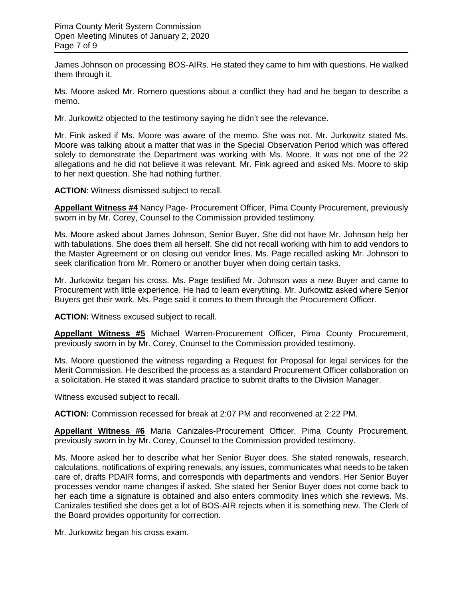James Johnson on processing BOS-AIRs. He stated they came to him with questions. He walked them through it.

Ms. Moore asked Mr. Romero questions about a conflict they had and he began to describe a memo.

Mr. Jurkowitz objected to the testimony saying he didn't see the relevance.

Mr. Fink asked if Ms. Moore was aware of the memo. She was not. Mr. Jurkowitz stated Ms. Moore was talking about a matter that was in the Special Observation Period which was offered solely to demonstrate the Department was working with Ms. Moore. It was not one of the 22 allegations and he did not believe it was relevant. Mr. Fink agreed and asked Ms. Moore to skip to her next question. She had nothing further.

**ACTION**: Witness dismissed subject to recall.

**Appellant Witness #4** Nancy Page- Procurement Officer, Pima County Procurement, previously sworn in by Mr. Corey, Counsel to the Commission provided testimony.

Ms. Moore asked about James Johnson, Senior Buyer. She did not have Mr. Johnson help her with tabulations. She does them all herself. She did not recall working with him to add vendors to the Master Agreement or on closing out vendor lines. Ms. Page recalled asking Mr. Johnson to seek clarification from Mr. Romero or another buyer when doing certain tasks.

Mr. Jurkowitz began his cross. Ms. Page testified Mr. Johnson was a new Buyer and came to Procurement with little experience. He had to learn everything. Mr. Jurkowitz asked where Senior Buyers get their work. Ms. Page said it comes to them through the Procurement Officer.

**ACTION:** Witness excused subject to recall.

**Appellant Witness #5** Michael Warren-Procurement Officer, Pima County Procurement, previously sworn in by Mr. Corey, Counsel to the Commission provided testimony.

Ms. Moore questioned the witness regarding a Request for Proposal for legal services for the Merit Commission. He described the process as a standard Procurement Officer collaboration on a solicitation. He stated it was standard practice to submit drafts to the Division Manager.

Witness excused subject to recall.

**ACTION:** Commission recessed for break at 2:07 PM and reconvened at 2:22 PM.

**Appellant Witness #6** Maria Canizales-Procurement Officer, Pima County Procurement, previously sworn in by Mr. Corey, Counsel to the Commission provided testimony.

Ms. Moore asked her to describe what her Senior Buyer does. She stated renewals, research, calculations, notifications of expiring renewals, any issues, communicates what needs to be taken care of, drafts PDAIR forms, and corresponds with departments and vendors. Her Senior Buyer processes vendor name changes if asked. She stated her Senior Buyer does not come back to her each time a signature is obtained and also enters commodity lines which she reviews. Ms. Canizales testified she does get a lot of BOS-AIR rejects when it is something new. The Clerk of the Board provides opportunity for correction.

Mr. Jurkowitz began his cross exam.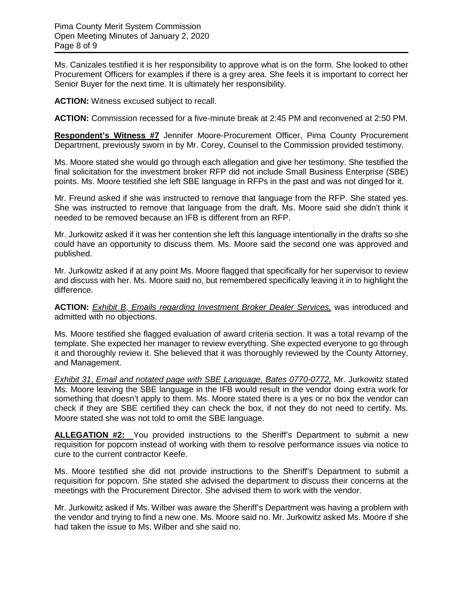Ms. Canizales testified it is her responsibility to approve what is on the form. She looked to other Procurement Officers for examples if there is a grey area. She feels it is important to correct her Senior Buyer for the next time. It is ultimately her responsibility.

**ACTION:** Witness excused subject to recall.

**ACTION:** Commission recessed for a five-minute break at 2:45 PM and reconvened at 2:50 PM.

**Respondent's Witness #7** Jennifer Moore-Procurement Officer, Pima County Procurement Department, previously sworn in by Mr. Corey, Counsel to the Commission provided testimony.

Ms. Moore stated she would go through each allegation and give her testimony. She testified the final solicitation for the investment broker RFP did not include Small Business Enterprise (SBE) points. Ms. Moore testified she left SBE language in RFPs in the past and was not dinged for it.

Mr. Freund asked if she was instructed to remove that language from the RFP. She stated yes. She was instructed to remove that language from the draft. Ms. Moore said she didn't think it needed to be removed because an IFB is different from an RFP.

Mr. Jurkowitz asked if it was her contention she left this language intentionally in the drafts so she could have an opportunity to discuss them. Ms. Moore said the second one was approved and published.

Mr. Jurkowitz asked if at any point Ms. Moore flagged that specifically for her supervisor to review and discuss with her. Ms. Moore said no, but remembered specifically leaving it in to highlight the difference.

**ACTION:** *Exhibit B*, *Emails regarding Investment Broker Dealer Services,* was introduced and admitted with no objections.

Ms. Moore testified she flagged evaluation of award criteria section. It was a total revamp of the template. She expected her manager to review everything. She expected everyone to go through it and thoroughly review it. She believed that it was thoroughly reviewed by the County Attorney, and Management.

*Exhibit 31*, *Email and notated page with SBE Language, Bates 0770-0772,* Mr. Jurkowitz stated Ms. Moore leaving the SBE language in the IFB would result in the vendor doing extra work for something that doesn't apply to them. Ms. Moore stated there is a yes or no box the vendor can check if they are SBE certified they can check the box, if not they do not need to certify. Ms. Moore stated she was not told to omit the SBE language.

**ALLEGATION #2:** You provided instructions to the Sheriff's Department to submit a new requisition for popcorn instead of working with them to resolve performance issues via notice to cure to the current contractor Keefe.

Ms. Moore testified she did not provide instructions to the Sheriff's Department to submit a requisition for popcorn. She stated she advised the department to discuss their concerns at the meetings with the Procurement Director. She advised them to work with the vendor.

Mr. Jurkowitz asked if Ms. Wilber was aware the Sheriff's Department was having a problem with the vendor and trying to find a new one. Ms. Moore said no. Mr. Jurkowitz asked Ms. Moore if she had taken the issue to Ms. Wilber and she said no.